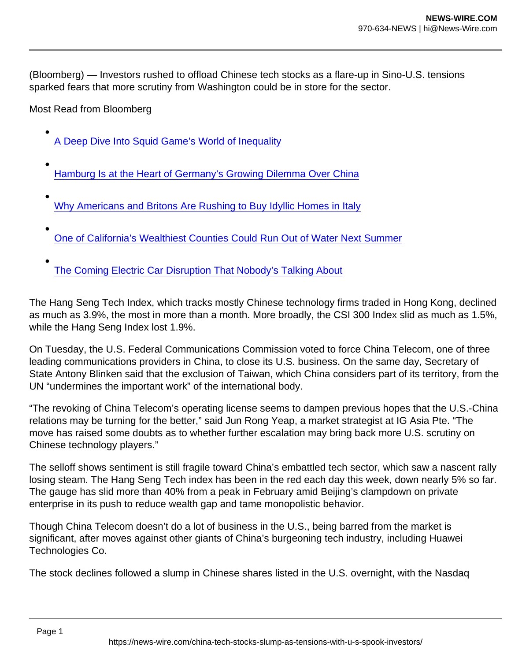(Bloomberg) — Investors rushed to offload Chinese tech stocks as a flare-up in Sino-U.S. tensions sparked fears that more scrutiny from Washington could be in store for the sector.

Most Read from Bloomberg

- [A Deep Dive Into Squid Game's World of Inequality](https://www.bloomberg.com/news/features/2021-10-26/a-deep-dive-into-squid-game-s-world-of-inequality?utm_campaign=bn&utm_medium=distro&utm_source=yahooUS)
- [Hamburg Is at the Heart of Germany's Growing Dilemma Over China](https://www.bloomberg.com/news/features/2021-10-23/germany-s-growing-dilemma-over-china-puts-hamburg-in-spotlight?utm_campaign=bn&utm_medium=distro&utm_source=yahooUS)
- [Why Americans and Britons Are Rushing to Buy Idyllic Homes in Italy](https://www.bloomberg.com/news/features/2021-10-22/hot-real-estate-trend-americans-britons-driving-up-demand-for-homes-in-italy?utm_campaign=bn&utm_medium=distro&utm_source=yahooUS)
- [One of California's Wealthiest Counties Could Run Out of Water Next Summer](https://www.bloomberg.com/news/features/2021-10-22/will-this-wealthy-california-town-run-out-of-water?utm_campaign=bn&utm_medium=distro&utm_source=yahooUS)
- [The Coming Electric Car Disruption That Nobody's Talking About](https://www.bloomberg.com/news/features/2021-10-22/the-ev-disruption-that-nobody-s-talking-about?utm_campaign=bn&utm_medium=distro&utm_source=yahooUS)

The Hang Seng Tech Index, which tracks mostly Chinese technology firms traded in Hong Kong, declined as much as 3.9%, the most in more than a month. More broadly, the CSI 300 Index slid as much as 1.5%, while the Hang Seng Index lost 1.9%.

On Tuesday, the U.S. Federal Communications Commission voted to force China Telecom, one of three leading communications providers in China, to close its U.S. business. On the same day, Secretary of State Antony Blinken said that the exclusion of Taiwan, which China considers part of its territory, from the UN "undermines the important work" of the international body.

"The revoking of China Telecom's operating license seems to dampen previous hopes that the U.S.-China relations may be turning for the better," said Jun Rong Yeap, a market strategist at IG Asia Pte. "The move has raised some doubts as to whether further escalation may bring back more U.S. scrutiny on Chinese technology players."

The selloff shows sentiment is still fragile toward China's embattled tech sector, which saw a nascent rally losing steam. The Hang Seng Tech index has been in the red each day this week, down nearly 5% so far. The gauge has slid more than 40% from a peak in February amid Beijing's clampdown on private enterprise in its push to reduce wealth gap and tame monopolistic behavior.

Though China Telecom doesn't do a lot of business in the U.S., being barred from the market is significant, after moves against other giants of China's burgeoning tech industry, including Huawei Technologies Co.

The stock declines followed a slump in Chinese shares listed in the U.S. overnight, with the Nasdaq